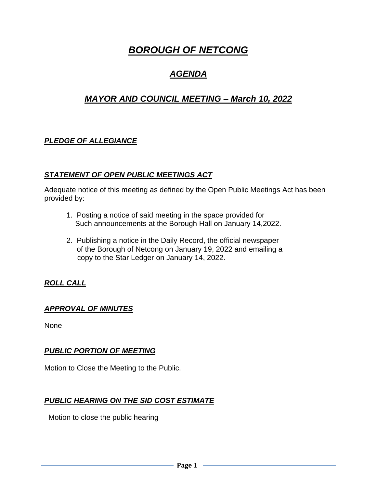# *BOROUGH OF NETCONG*

## *AGENDA*

## *MAYOR AND COUNCIL MEETING – March 10, 2022*

## *PLEDGE OF ALLEGIANCE*

## *STATEMENT OF OPEN PUBLIC MEETINGS ACT*

Adequate notice of this meeting as defined by the Open Public Meetings Act has been provided by:

- 1. Posting a notice of said meeting in the space provided for Such announcements at the Borough Hall on January 14,2022.
- 2. Publishing a notice in the Daily Record, the official newspaper of the Borough of Netcong on January 19, 2022 and emailing a copy to the Star Ledger on January 14, 2022.

## *ROLL CALL*

## *APPROVAL OF MINUTES*

None

#### *PUBLIC PORTION OF MEETING*

Motion to Close the Meeting to the Public.

## *PUBLIC HEARING ON THE SID COST ESTIMATE*

Motion to close the public hearing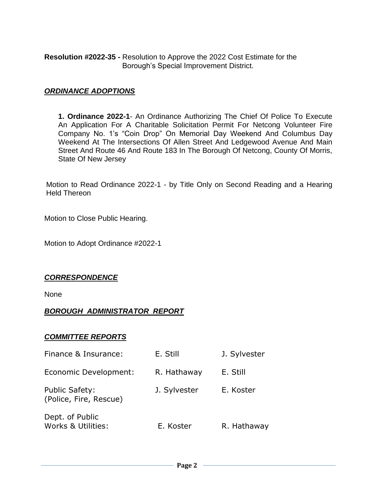**Resolution #2022-35 -** Resolution to Approve the 2022 Cost Estimate for the Borough's Special Improvement District.

#### *ORDINANCE ADOPTIONS*

**1. Ordinance 2022-1**- An Ordinance Authorizing The Chief Of Police To Execute An Application For A Charitable Solicitation Permit For Netcong Volunteer Fire Company No. 1's "Coin Drop" On Memorial Day Weekend And Columbus Day Weekend At The Intersections Of Allen Street And Ledgewood Avenue And Main Street And Route 46 And Route 183 In The Borough Of Netcong, County Of Morris, State Of New Jersey

Motion to Read Ordinance 2022-1 - by Title Only on Second Reading and a Hearing Held Thereon

Motion to Close Public Hearing.

Motion to Adopt Ordinance #2022-1

#### *CORRESPONDENCE*

None

#### *BOROUGH ADMINISTRATOR REPORT*

#### *COMMITTEE REPORTS*

| Finance & Insurance:                            | E. Still     | J. Sylvester |
|-------------------------------------------------|--------------|--------------|
| Economic Development:                           | R. Hathaway  | E. Still     |
| <b>Public Safety:</b><br>(Police, Fire, Rescue) | J. Sylvester | E. Koster    |
| Dept. of Public<br>Works & Utilities:           | E. Koster    | R. Hathaway  |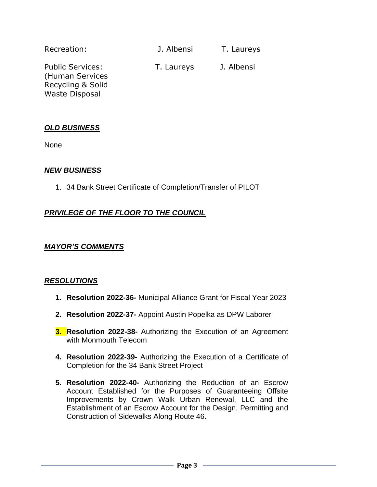| Recreation:                                                                              | J. Albensi | T. Laureys |
|------------------------------------------------------------------------------------------|------------|------------|
| <b>Public Services:</b><br>(Human Services<br>Recycling & Solid<br><b>Waste Disposal</b> | T. Laureys | J. Albensi |

#### *OLD BUSINESS*

None

#### *NEW BUSINESS*

1. 34 Bank Street Certificate of Completion/Transfer of PILOT

#### *PRIVILEGE OF THE FLOOR TO THE COUNCIL*

#### *MAYOR'S COMMENTS*

#### *RESOLUTIONS*

- **1. Resolution 2022-36-** Municipal Alliance Grant for Fiscal Year 2023
- **2. Resolution 2022-37-** Appoint Austin Popelka as DPW Laborer
- **3. Resolution 2022-38-** Authorizing the Execution of an Agreement with Monmouth Telecom
- **4. Resolution 2022-39-** Authorizing the Execution of a Certificate of Completion for the 34 Bank Street Project
- **5. Resolution 2022-40-** Authorizing the Reduction of an Escrow Account Established for the Purposes of Guaranteeing Offsite Improvements by Crown Walk Urban Renewal, LLC and the Establishment of an Escrow Account for the Design, Permitting and Construction of Sidewalks Along Route 46.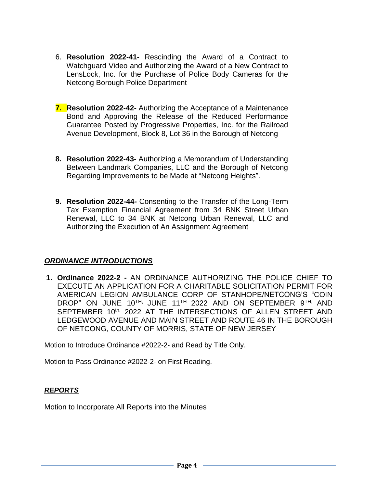- 6. **Resolution 2022-41-** Rescinding the Award of a Contract to Watchguard Video and Authorizing the Award of a New Contract to LensLock, Inc. for the Purchase of Police Body Cameras for the Netcong Borough Police Department
- **7. Resolution 2022-42-** Authorizing the Acceptance of a Maintenance Bond and Approving the Release of the Reduced Performance Guarantee Posted by Progressive Properties, Inc. for the Railroad Avenue Development, Block 8, Lot 36 in the Borough of Netcong
- **8. Resolution 2022-43-** Authorizing a Memorandum of Understanding Between Landmark Companies, LLC and the Borough of Netcong Regarding Improvements to be Made at "Netcong Heights".
- **9. Resolution 2022-44-** Consenting to the Transfer of the Long-Term Tax Exemption Financial Agreement from 34 BNK Street Urban Renewal, LLC to 34 BNK at Netcong Urban Renewal, LLC and Authorizing the Execution of An Assignment Agreement

## *ORDINANCE INTRODUCTIONS*

**1. Ordinance 2022-2 -** AN ORDINANCE AUTHORIZING THE POLICE CHIEF TO EXECUTE AN APPLICATION FOR A CHARITABLE SOLICITATION PERMIT FOR AMERICAN LEGION AMBULANCE CORP OF STANHOPE/NETCONG'S "COIN DROP" ON JUNE 10<sup>th,</sup> JUNE 11<sup>th</sup> 2022 and ON SEPTEMBER 9<sup>th,</sup> AND SEPTEMBER 10th, 2022 AT THE INTERSECTIONS OF ALLEN STREET AND LEDGEWOOD AVENUE AND MAIN STREET AND ROUTE 46 IN THE BOROUGH OF NETCONG, COUNTY OF MORRIS, STATE OF NEW JERSEY

Motion to Introduce Ordinance #2022-2- and Read by Title Only.

Motion to Pass Ordinance #2022-2- on First Reading.

#### *REPORTS*

Motion to Incorporate All Reports into the Minutes